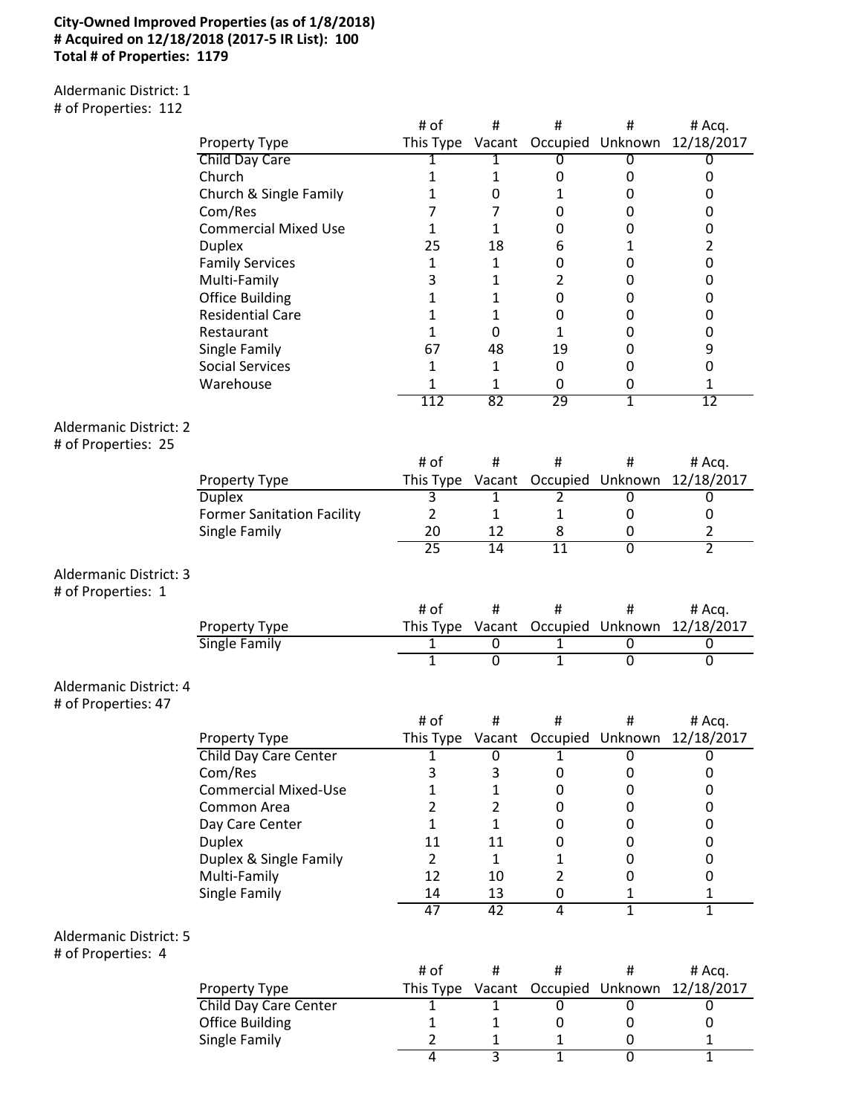### **City-Owned Improved Properties (as of 1/8/2018) # Acquired on 12/18/2018 (2017-5 IR List): 100 Total # of Properties: 1179**

Aldermanic District: 1 # of Properties: 112

|                                                      |                                   | # of            | #               | $\#$                    | #                       | # Acq.         |
|------------------------------------------------------|-----------------------------------|-----------------|-----------------|-------------------------|-------------------------|----------------|
|                                                      | Property Type                     | This Type       |                 |                         | Vacant Occupied Unknown | 12/18/2017     |
|                                                      | Child Day Care                    | 1               | 1               | 0                       | 0                       | 0              |
|                                                      | Church                            | 1               | $\mathbf{1}$    | 0                       | 0                       | 0              |
|                                                      |                                   |                 | 0               |                         | 0                       |                |
|                                                      | Church & Single Family            | 1               |                 | 1                       |                         | 0              |
|                                                      | Com/Res                           | 7               | 7               | 0                       | 0                       | 0              |
|                                                      | <b>Commercial Mixed Use</b>       | 1               | 1               | 0                       | 0                       | 0              |
|                                                      | <b>Duplex</b>                     | 25              | 18              | 6                       | 1                       | 2              |
|                                                      | <b>Family Services</b>            | 1               | $\mathbf{1}$    | 0                       | 0                       | $\pmb{0}$      |
|                                                      | Multi-Family                      | 3               | $\mathbf{1}$    | $\overline{2}$          | 0                       | 0              |
|                                                      | <b>Office Building</b>            | $\mathbf{1}$    | $\mathbf{1}$    | 0                       | 0                       | 0              |
|                                                      | <b>Residential Care</b>           | 1               | $\mathbf{1}$    | $\boldsymbol{0}$        | 0                       | 0              |
|                                                      | Restaurant                        | 1               | 0               | $\mathbf{1}$            | 0                       | $\pmb{0}$      |
|                                                      | Single Family                     | 67              | 48              | 19                      | 0                       | 9              |
|                                                      | <b>Social Services</b>            | 1               | 1               | 0                       | 0                       | $\pmb{0}$      |
|                                                      | Warehouse                         | $\mathbf{1}$    | 1               | 0                       | 0                       | 1              |
|                                                      |                                   | 112             | 82              | 29                      | 1                       | 12             |
|                                                      |                                   |                 |                 |                         |                         |                |
| <b>Aldermanic District: 2</b><br># of Properties: 25 |                                   |                 |                 |                         |                         |                |
|                                                      |                                   | # of            | #               | #                       | #                       | # Acq.         |
|                                                      | Property Type                     | This Type       |                 | Vacant Occupied Unknown |                         | 12/18/2017     |
|                                                      | <b>Duplex</b>                     | 3               | 1               | 2                       | 0                       | 0              |
|                                                      | <b>Former Sanitation Facility</b> | $\overline{2}$  | 1               | 1                       | 0                       | 0              |
|                                                      | Single Family                     | 20              | 12              | 8                       | 0                       | 2              |
|                                                      |                                   | $\overline{25}$ | $\overline{14}$ | $\overline{11}$         | $\overline{0}$          | $\overline{2}$ |
| Aldermanic District: 3                               |                                   |                 |                 |                         |                         |                |
| # of Properties: 1                                   |                                   |                 |                 |                         |                         |                |
|                                                      |                                   | # of            | #               | $\sharp$                | #                       | # Acq.         |
|                                                      | Property Type                     | This Type       |                 | Vacant Occupied Unknown |                         | 12/18/2017     |
|                                                      | <b>Single Family</b>              | $\overline{1}$  | $\overline{0}$  | 1                       | $\overline{0}$          | $\overline{0}$ |
|                                                      |                                   | $\overline{1}$  | 0               | 1                       | 0                       | 0              |
| Aldermanic District: 4<br># of Properties: 47        |                                   |                 |                 |                         |                         |                |
|                                                      |                                   | # of            | #               | #                       | #                       | # Acq.         |
|                                                      | Property Type                     | This Type       |                 | Vacant Occupied Unknown |                         | 12/18/2017     |
|                                                      | <b>Child Day Care Center</b>      | 1               | 0               | 1                       | 0                       | $\overline{0}$ |
|                                                      | Com/Res                           | 3               | 3               | 0                       | 0                       | 0              |
|                                                      | <b>Commercial Mixed-Use</b>       | 1               | $\mathbf{1}$    | 0                       | 0                       | $\pmb{0}$      |
|                                                      | Common Area                       | $\overline{2}$  | $\overline{2}$  | 0                       | 0                       | 0              |
|                                                      | Day Care Center                   | $\mathbf{1}$    | $\mathbf{1}$    | 0                       | 0                       | $\pmb{0}$      |
|                                                      | <b>Duplex</b>                     | 11              | 11              | 0                       | 0                       | $\pmb{0}$      |
|                                                      |                                   | $\overline{2}$  | $\mathbf{1}$    |                         |                         | $\pmb{0}$      |
|                                                      | Duplex & Single Family            |                 |                 | $\mathbf{1}$            | 0                       |                |
|                                                      | Multi-Family                      | 12              | 10              | $\overline{2}$          | 0                       | 0              |
|                                                      | Single Family                     | 14              | 13              | 0                       | 1                       | 1              |
|                                                      |                                   | 47              | 42              | $\overline{4}$          | $\overline{1}$          | $\overline{1}$ |
| <b>Aldermanic District: 5</b><br># of Properties: 4  |                                   |                 |                 |                         |                         |                |
|                                                      |                                   | # of            | #               | #                       | #                       | # Acq.         |
|                                                      | Property Type                     | This Type       | Vacant          |                         | Occupied Unknown        | 12/18/2017     |
|                                                      | <b>Child Day Care Center</b>      | $\mathbf{1}$    | 1               | 0                       | $\overline{0}$          | 0              |
|                                                      | <b>Office Building</b>            | 1               | 1               | 0                       | 0                       | 0              |
|                                                      | Single Family                     | 2               | 1               | 1                       | 0                       | 1              |
|                                                      |                                   | $\overline{4}$  | $\overline{3}$  | $\overline{1}$          | $\overline{0}$          | $\overline{1}$ |
|                                                      |                                   |                 |                 |                         |                         |                |

4 3 1 0 1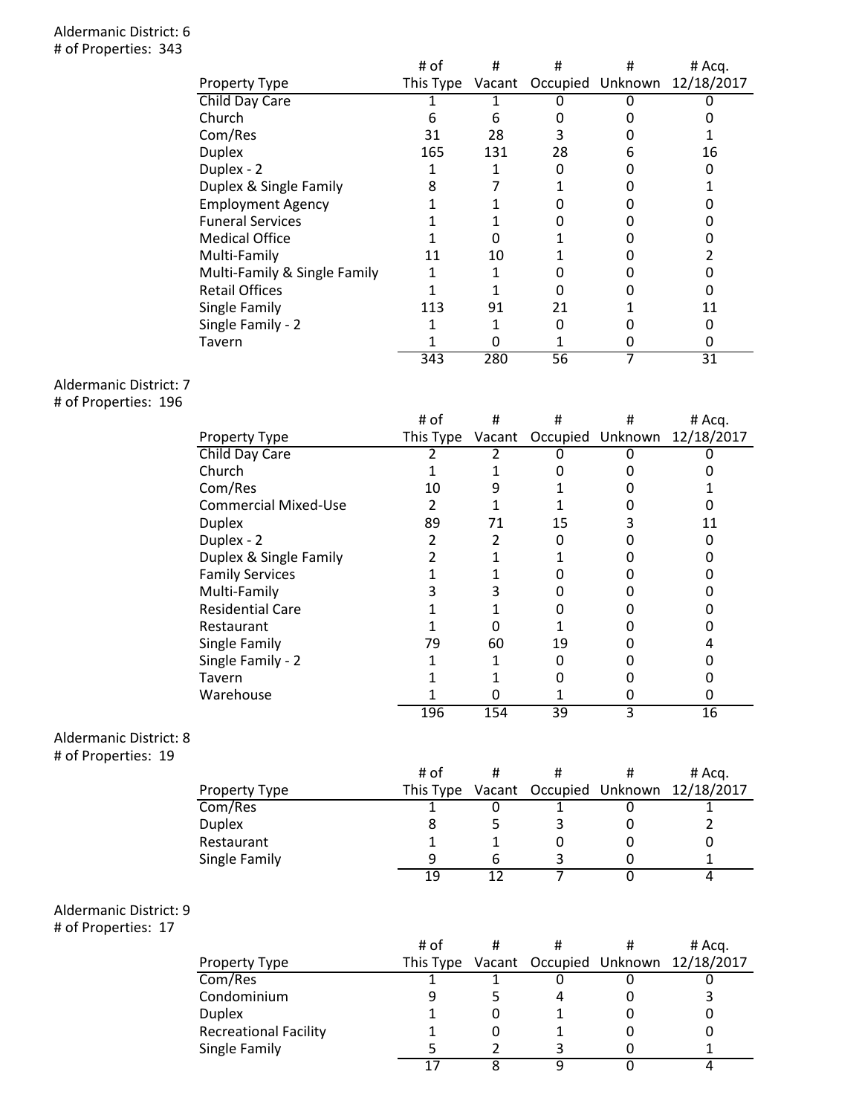### Aldermanic District: 6 # of Properties: 343

| Property Type                | # of | #   | #  | #<br>This Type Vacant Occupied Unknown | # Acq.<br>12/18/2017 |
|------------------------------|------|-----|----|----------------------------------------|----------------------|
| Child Day Care               |      |     |    |                                        |                      |
| Church                       |      | 6   |    |                                        |                      |
| Com/Res                      | 31   | 28  | 3  |                                        |                      |
| <b>Duplex</b>                | 165  | 131 | 28 | h                                      | 16                   |
| Duplex - 2                   |      |     |    |                                        |                      |
| Duplex & Single Family       | 8    |     |    |                                        |                      |
| <b>Employment Agency</b>     |      |     |    |                                        |                      |
| <b>Funeral Services</b>      |      |     |    |                                        |                      |
| <b>Medical Office</b>        |      |     |    |                                        |                      |
| Multi-Family                 | 11   | 10  |    |                                        |                      |
| Multi-Family & Single Family |      |     |    |                                        |                      |
| <b>Retail Offices</b>        |      |     |    |                                        |                      |
| Single Family                | 113  | 91  | 21 |                                        | 11                   |
| Single Family - 2            |      |     |    |                                        |                      |
| Tavern                       |      |     |    |                                        |                      |
|                              | 343  | 280 | 56 |                                        | 31                   |

## Aldermanic District: 7

# of Properties: 196

|                             | # of      | #   | #  | #                       | # Acq.     |
|-----------------------------|-----------|-----|----|-------------------------|------------|
| Property Type               | This Type |     |    | Vacant Occupied Unknown | 12/18/2017 |
| Child Day Care              |           |     |    |                         |            |
| Church                      |           |     |    |                         |            |
| Com/Res                     | 10        | 9   |    |                         |            |
| <b>Commercial Mixed-Use</b> |           |     |    |                         |            |
| <b>Duplex</b>               | 89        | 71  | 15 |                         | 11         |
| Duplex - 2                  |           |     |    |                         |            |
| Duplex & Single Family      |           |     |    |                         |            |
| <b>Family Services</b>      |           |     |    |                         |            |
| Multi-Family                |           |     |    |                         |            |
| <b>Residential Care</b>     |           |     |    |                         |            |
| Restaurant                  |           |     |    |                         |            |
| Single Family               | 79        | 60  | 19 |                         |            |
| Single Family - 2           |           |     | O  |                         |            |
| Tavern                      |           |     |    |                         |            |
| Warehouse                   |           |     |    |                         |            |
|                             | 196       | 154 | 39 |                         | 16         |

### Aldermanic District: 8

# of Properties: 19

|               | # of |  | # Acq.                                       |
|---------------|------|--|----------------------------------------------|
| Property Type |      |  | This Type Vacant Occupied Unknown 12/18/2017 |
| Com/Res       |      |  |                                              |
| <b>Duplex</b> |      |  |                                              |
| Restaurant    |      |  |                                              |
| Single Family |      |  |                                              |
|               | 1 Q  |  |                                              |

# Aldermanic District: 9

# of Properties: 17

|                              | # of      |  | # Acq.                             |
|------------------------------|-----------|--|------------------------------------|
| Property Type                | This Type |  | Vacant Occupied Unknown 12/18/2017 |
| Com/Res                      |           |  |                                    |
| Condominium                  |           |  |                                    |
| <b>Duplex</b>                |           |  |                                    |
| <b>Recreational Facility</b> |           |  |                                    |
| Single Family                |           |  |                                    |
|                              |           |  |                                    |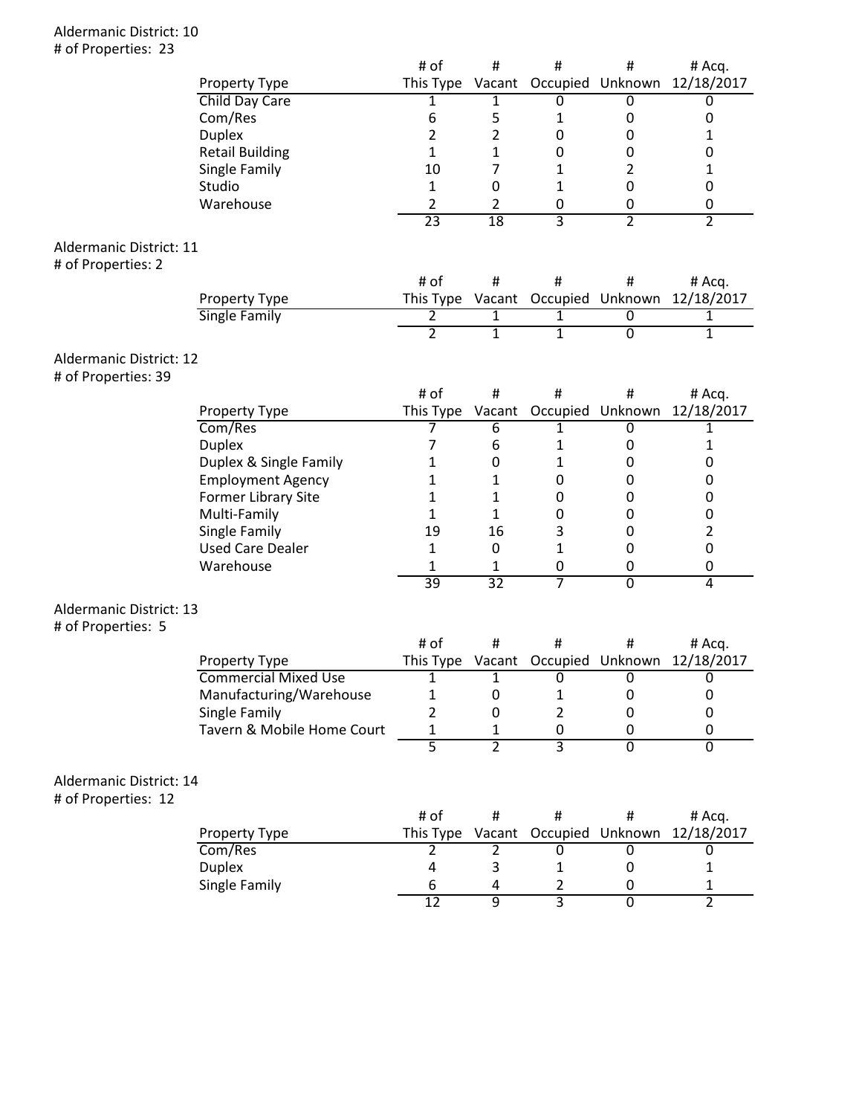### Aldermanic District: 10 # of Properties: 23

|                         |                             | # of             | #              | #                                 | #                       | # Acq.         |
|-------------------------|-----------------------------|------------------|----------------|-----------------------------------|-------------------------|----------------|
|                         | Property Type               | This Type        |                |                                   | Vacant Occupied Unknown | 12/18/2017     |
|                         | Child Day Care              | 1                | 1              | 0                                 | 0                       | 0              |
|                         | Com/Res                     | 6                | 5              | 1                                 | 0                       | 0              |
|                         | <b>Duplex</b>               | 2                | $\overline{2}$ | $\mathbf 0$                       | 0                       | 1              |
|                         | <b>Retail Building</b>      | 1                | 1              | $\mathbf 0$                       | 0                       | 0              |
|                         | Single Family               | 10               | $\overline{7}$ | 1                                 | 2                       | 1              |
|                         | Studio                      | 1                | 0              | 1                                 | $\mathbf 0$             | $\pmb{0}$      |
|                         | Warehouse                   | 2                | $\overline{2}$ | 0                                 | 0                       | 0              |
|                         |                             | $\overline{23}$  | 18             | 3                                 | $\overline{2}$          | $\overline{2}$ |
| Aldermanic District: 11 |                             |                  |                |                                   |                         |                |
| # of Properties: 2      |                             |                  |                |                                   |                         |                |
|                         |                             | # of             | $\#$           | $\#$                              | #                       | # Acq.         |
|                         | Property Type               |                  |                | This Type Vacant Occupied Unknown |                         | 12/18/2017     |
|                         | Single Family               | $\overline{2}$   | $\overline{1}$ | 1                                 | $\overline{0}$          | $\overline{1}$ |
|                         |                             | $\overline{2}$   | $\overline{1}$ | $\overline{1}$                    | $\overline{0}$          | $\overline{1}$ |
| Aldermanic District: 12 |                             |                  |                |                                   |                         |                |
| # of Properties: 39     |                             |                  |                |                                   |                         |                |
|                         |                             | # of             | $\#$           | $\#$                              | #                       | # Acq.         |
|                         | Property Type               | This Type Vacant |                |                                   | Occupied Unknown        | 12/18/2017     |
|                         | Com/Res                     | 7                | 6              | 1                                 | 0                       | 1              |
|                         | <b>Duplex</b>               | 7                | 6              | 1                                 | 0                       | 1              |
|                         | Duplex & Single Family      | 1                | 0              | 1                                 | 0                       | 0              |
|                         | <b>Employment Agency</b>    | 1                | 1              | $\pmb{0}$                         | 0                       | 0              |
|                         | Former Library Site         | 1                | 1              | $\mathbf 0$                       | 0                       | 0              |
|                         | Multi-Family                | 1                | 1              | $\mathbf 0$                       | 0                       | $\pmb{0}$      |
|                         | Single Family               | 19               | 16             | 3                                 | 0                       | $\overline{2}$ |
|                         | <b>Used Care Dealer</b>     | 1                | $\pmb{0}$      | $\mathbf 1$                       | 0                       | $\pmb{0}$      |
|                         | Warehouse                   | 1                | 1              | 0                                 | 0                       | 0              |
|                         |                             | 39               | 32             | 7                                 | $\overline{0}$          | $\overline{4}$ |
|                         |                             |                  |                |                                   |                         |                |
| Aldermanic District: 13 |                             |                  |                |                                   |                         |                |
| # of Properties: 5      |                             | # of             | #              | #                                 | #                       | # Acq.         |
|                         | Property Type               | This Type        | Vacant         |                                   | Occupied Unknown        | 12/18/2017     |
|                         | <b>Commercial Mixed Use</b> | 1                | 1              | 0                                 | $\overline{0}$          | 0              |
|                         | Manufacturing/Warehouse     | 1                | 0              | $\mathbf 1$                       | 0                       | 0              |
|                         | Single Family               | $\overline{2}$   | 0              | 2                                 | 0                       | 0              |
|                         | Tavern & Mobile Home Court  | 1                | 1              | 0                                 | 0                       | 0              |
|                         |                             | $\overline{5}$   | $\overline{2}$ | $\overline{\overline{3}}$         | $\overline{0}$          | $\overline{0}$ |
|                         |                             |                  |                |                                   |                         |                |
| Aldermanic District: 14 |                             |                  |                |                                   |                         |                |
| # of Properties: 12     |                             |                  |                |                                   |                         |                |
|                         |                             | # of             | $\#$           | #                                 | #                       | # Acq.         |
|                         | Property Type               | This Type        | Vacant         |                                   | Occupied Unknown        | 12/18/2017     |
|                         | Com/Res                     | 2                | 2              | 0                                 | 0                       | 0              |
|                         | <b>Duplex</b>               | 4                | 3              | 1                                 | 0                       | 1              |
|                         | Single Family               | 6                | 4              | 2                                 | 0                       | 1              |

12 9 3 0 2